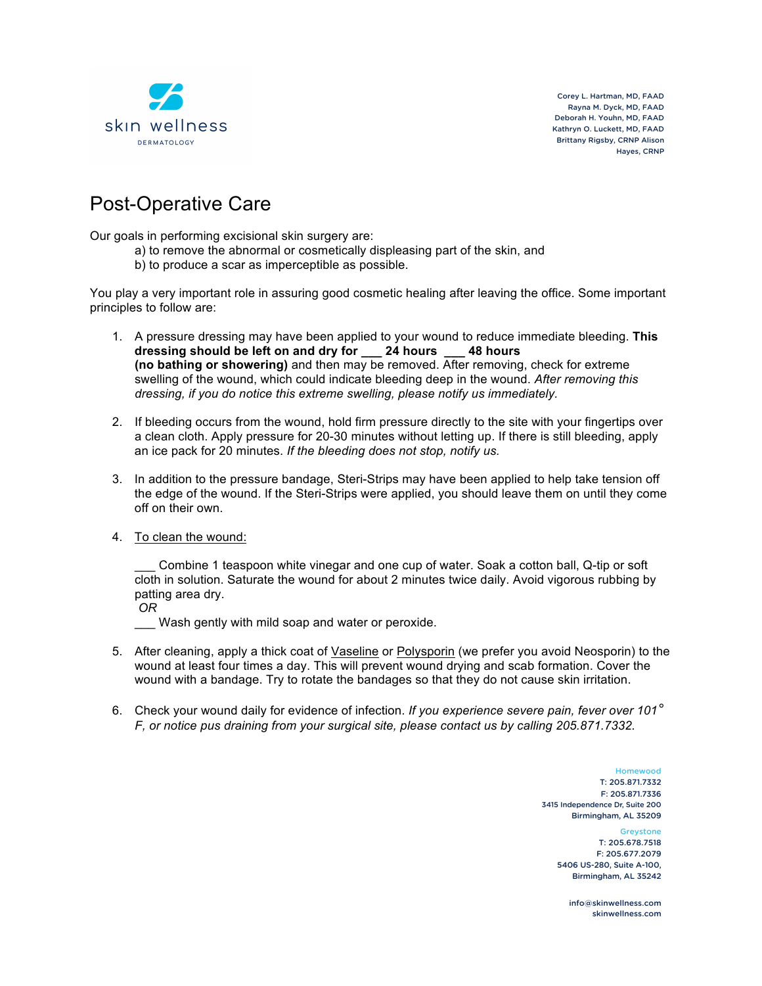

Corey L. Hartman, MD, FAAD Rayna M. Dyck, MD, FAAD Deborah H. Youhn, MD, FAAD Kathryn O. Luckett, MD, FAAD Brittany Rigsby, CRNP Alison Hayes, CRNP

## Post-Operative Care

Our goals in performing excisional skin surgery are:

- a) to remove the abnormal or cosmetically displeasing part of the skin, and
- b) to produce a scar as imperceptible as possible.

You play a very important role in assuring good cosmetic healing after leaving the office. Some important principles to follow are:

- 1. A pressure dressing may have been applied to your wound to reduce immediate bleeding. **This dressing should be left on and dry for \_\_\_ 24 hours \_\_\_ 48 hours (no bathing or showering)** and then may be removed. After removing, check for extreme swelling of the wound, which could indicate bleeding deep in the wound. *After removing this dressing, if you do notice this extreme swelling, please notify us immediately.*
- 2. If bleeding occurs from the wound, hold firm pressure directly to the site with your fingertips over a clean cloth. Apply pressure for 20-30 minutes without letting up. If there is still bleeding, apply an ice pack for 20 minutes. *If the bleeding does not stop, notify us.*
- 3. In addition to the pressure bandage, Steri-Strips may have been applied to help take tension off the edge of the wound. If the Steri-Strips were applied, you should leave them on until they come off on their own.
- 4. To clean the wound:

\_\_\_ Combine 1 teaspoon white vinegar and one cup of water. Soak a cotton ball, Q-tip or soft cloth in solution. Saturate the wound for about 2 minutes twice daily. Avoid vigorous rubbing by patting area dry.

Wash gently with mild soap and water or peroxide.

- 5. After cleaning, apply a thick coat of Vaseline or Polysporin (we prefer you avoid Neosporin) to the wound at least four times a day. This will prevent wound drying and scab formation. Cover the wound with a bandage. Try to rotate the bandages so that they do not cause skin irritation.
- 6. Check your wound daily for evidence of infection. *If you experience severe pain, fever over 101° F, or notice pus draining from your surgical site, please contact us by calling 205.871.7332.*

Homewood T: 205.871.7332 F: 205.871.7336 3415 Independence Dr, Suite 200 Birmingham, AL 35209 **Greystone** 

T: 205.678.7518 F: 205.677.2079 5406 US-280, Suite A-100, Birmingham, AL 35242

info@skinwellness.com skinwellness.com

*OR*